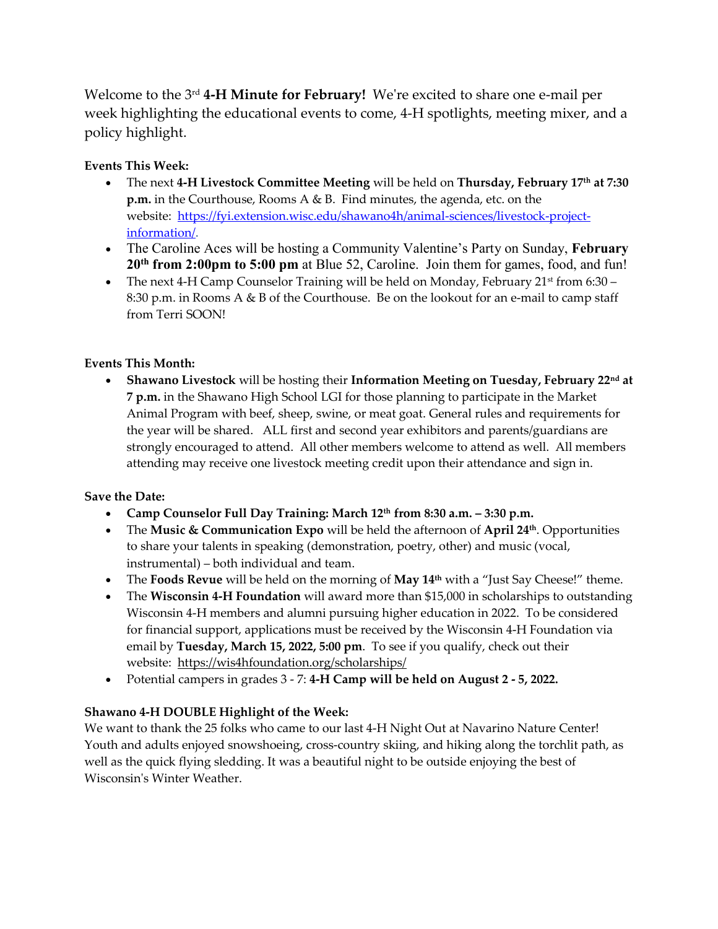Welcome to the 3 rd **4-H Minute for February!** We're excited to share one e-mail per week highlighting the educational events to come, 4-H spotlights, meeting mixer, and a policy highlight.

## **Events This Week:**

- The next **4-H Livestock Committee Meeting** will be held on **Thursday, February 17th at 7:30 p.m.** in the Courthouse, Rooms A & B. Find minutes, the agenda, etc. on the website: [https://fyi.extension.wisc.edu/shawano4h/animal-sciences/livestock-project](https://fyi.extension.wisc.edu/shawano4h/animal-sciences/livestock-project-information/)[information/.](https://fyi.extension.wisc.edu/shawano4h/animal-sciences/livestock-project-information/)
- The Caroline Aces will be hosting a Community Valentine's Party on Sunday, **February 20th from 2:00pm to 5:00 pm** at Blue 52, Caroline. Join them for games, food, and fun!
- The next 4-H Camp Counselor Training will be held on Monday, February  $21^{st}$  from 6:30 8:30 p.m. in Rooms A & B of the Courthouse. Be on the lookout for an e-mail to camp staff from Terri SOON!

## **Events This Month:**

 **Shawano Livestock** will be hosting their **Information Meeting on Tuesday, February 22nd at 7 p.m.** in the Shawano High School LGI for those planning to participate in the Market Animal Program with beef, sheep, swine, or meat goat. General rules and requirements for the year will be shared. ALL first and second year exhibitors and parents/guardians are strongly encouraged to attend. All other members welcome to attend as well. All members attending may receive one livestock meeting credit upon their attendance and sign in.

## **Save the Date:**

- **Camp Counselor Full Day Training: March 12th from 8:30 a.m. – 3:30 p.m.**
- The **Music & Communication Expo** will be held the afternoon of **April 24th**. Opportunities to share your talents in speaking (demonstration, poetry, other) and music (vocal, instrumental) – both individual and team.
- The **Foods Revue** will be held on the morning of **May 14th** with a "Just Say Cheese!" theme.
- The **Wisconsin 4-H Foundation** will award more than \$15,000 in scholarships to outstanding Wisconsin 4-H members and alumni pursuing higher education in 2022. To be considered for financial support, applications must be received by the Wisconsin 4-H Foundation via email by **Tuesday, March 15, 2022, 5:00 pm**. To see if you qualify, check out their website: <https://wis4hfoundation.org/scholarships/>
- Potential campers in grades 3 7: **4-H Camp will be held on August 2 - 5, 2022.**

## **Shawano 4-H DOUBLE Highlight of the Week:**

We want to thank the 25 folks who came to our last 4-H Night Out at Navarino Nature Center! Youth and adults enjoyed snowshoeing, cross-country skiing, and hiking along the torchlit path, as well as the quick flying sledding. It was a beautiful night to be outside enjoying the best of Wisconsin's Winter Weather.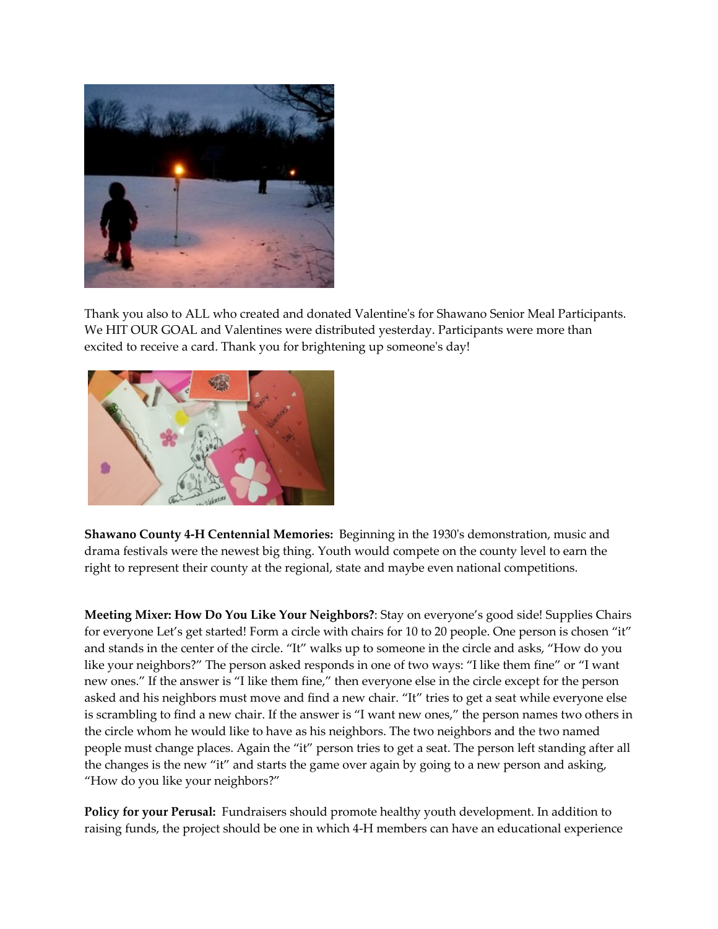

Thank you also to ALL who created and donated Valentine's for Shawano Senior Meal Participants. We HIT OUR GOAL and Valentines were distributed yesterday. Participants were more than excited to receive a card. Thank you for brightening up someone's day!



**Shawano County 4-H Centennial Memories:** Beginning in the 1930's demonstration, music and drama festivals were the newest big thing. Youth would compete on the county level to earn the right to represent their county at the regional, state and maybe even national competitions.

**Meeting Mixer: How Do You Like Your Neighbors?**: Stay on everyone's good side! Supplies Chairs for everyone Let's get started! Form a circle with chairs for 10 to 20 people. One person is chosen "it" and stands in the center of the circle. "It" walks up to someone in the circle and asks, "How do you like your neighbors?" The person asked responds in one of two ways: "I like them fine" or "I want new ones." If the answer is "I like them fine," then everyone else in the circle except for the person asked and his neighbors must move and find a new chair. "It" tries to get a seat while everyone else is scrambling to find a new chair. If the answer is "I want new ones," the person names two others in the circle whom he would like to have as his neighbors. The two neighbors and the two named people must change places. Again the "it" person tries to get a seat. The person left standing after all the changes is the new "it" and starts the game over again by going to a new person and asking, "How do you like your neighbors?"

**Policy for your Perusal:** Fundraisers should promote healthy youth development. In addition to raising funds, the project should be one in which 4-H members can have an educational experience